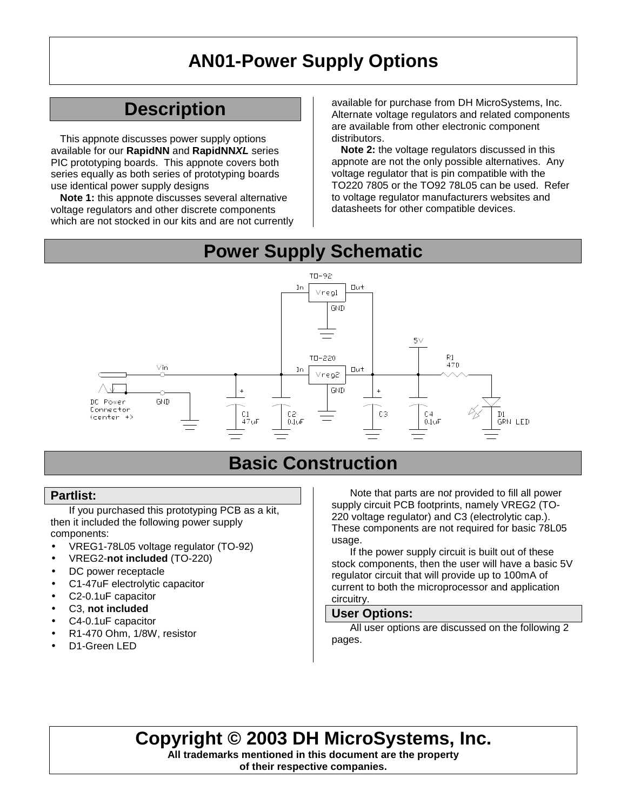## **AN01-Power Supply Options**

### **Description**

This appnote discusses power supply options available for our **RapidNN** and **RapidNN***XL* series PIC prototyping boards. This appnote covers both series equally as both series of prototyping boards use identical power supply designs

**Note 1:** this appnote discusses several alternative voltage regulators and other discrete components which are not stocked in our kits and are not currently

available for purchase from DH MicroSystems, Inc. Alternate voltage regulators and related components are available from other electronic component distributors.

**Note 2:** the voltage regulators discussed in this appnote are not the only possible alternatives. Any voltage regulator that is pin compatible with the TO220 7805 or the TO92 78L05 can be used. Refer to voltage regulator manufacturers websites and datasheets for other compatible devices.

### **Power Supply Schematic**



### **Basic Construction**

#### **Partlist:**

If you purchased this prototyping PCB as a kit, then it included the following power supply components:

- VREG1-78L05 voltage regulator (TO-92)
- VREG2-**not included** (TO-220)
- DC power receptacle
- C1-47uF electrolytic capacitor
- C2-0.1uF capacitor
- C3, **not included**
- C4-0.1uF capacitor
- R1-470 Ohm, 1/8W, resistor
- D1-Green LED

Note that parts are no*t* provided to fill all power supply circuit PCB footprints, namely VREG2 (TO-220 voltage regulator) and C3 (electrolytic cap.). These components are not required for basic 78L05 usage.

If the power supply circuit is built out of these stock components, then the user will have a basic 5V regulator circuit that will provide up to 100mA of current to both the microprocessor and application circuitry.

#### **User Options:**

All user options are discussed on the following 2 pages.

### **Copyright © 2003 DH MicroSystems, Inc.**

**All trademarks mentioned in this document are the property of their respective companies.**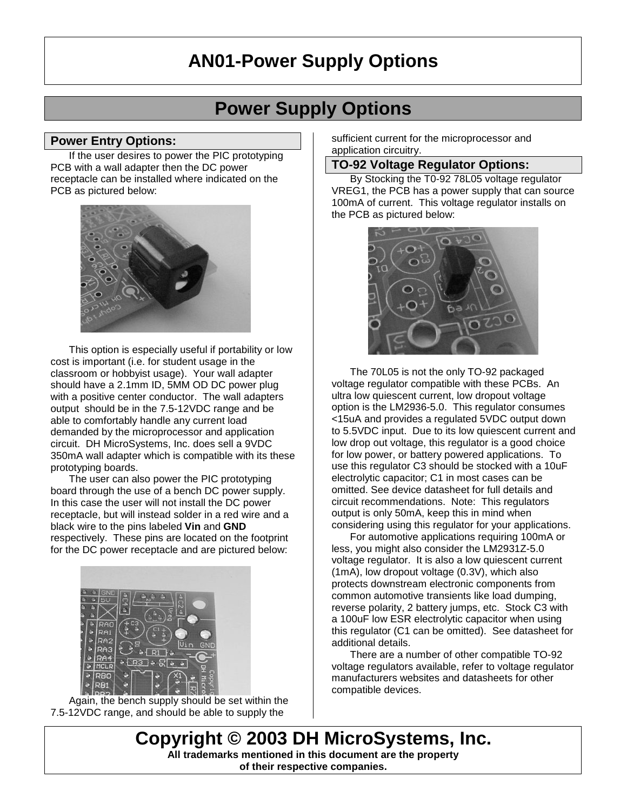## **AN01-Power Supply Options**

### **Power Supply Options**

#### **Power Entry Options:**

If the user desires to power the PIC prototyping PCB with a wall adapter then the DC power receptacle can be installed where indicated on the PCB as pictured below:



This option is especially useful if portability or low cost is important (i.e. for student usage in the classroom or hobbyist usage). Your wall adapter should have a 2.1mm ID, 5MM OD DC power plug with a positive center conductor. The wall adapters output should be in the 7.5-12VDC range and be able to comfortably handle any current load demanded by the microprocessor and application circuit. DH MicroSystems, Inc. does sell a 9VDC 350mA wall adapter which is compatible with its these prototyping boards.

The user can also power the PIC prototyping board through the use of a bench DC power supply. In this case the user will not install the DC power receptacle, but will instead solder in a red wire and a black wire to the pins labeled **Vin** and **GND** respectively. These pins are located on the footprint for the DC power receptacle and are pictured below:



Again, the bench supply should be set within the 7.5-12VDC range, and should be able to supply the

sufficient current for the microprocessor and application circuitry.

#### **TO-92 Voltage Regulator Options:**

By Stocking the T0-92 78L05 voltage regulator VREG1, the PCB has a power supply that can source 100mA of current. This voltage regulator installs on the PCB as pictured below:



The 70L05 is not the only TO-92 packaged voltage regulator compatible with these PCBs. An ultra low quiescent current, low dropout voltage option is the LM2936-5.0. This regulator consumes <15uA and provides a regulated 5VDC output down to 5.5VDC input. Due to its low quiescent current and low drop out voltage, this regulator is a good choice for low power, or battery powered applications. To use this regulator C3 should be stocked with a 10uF electrolytic capacitor; C1 in most cases can be omitted. See device datasheet for full details and circuit recommendations. Note: This regulators output is only 50mA, keep this in mind when considering using this regulator for your applications.

For automotive applications requiring 100mA or less, you might also consider the LM2931Z-5.0 voltage regulator. It is also a low quiescent current (1mA), low dropout voltage (0.3V), which also protects downstream electronic components from common automotive transients like load dumping, reverse polarity, 2 battery jumps, etc. Stock C3 with a 100uF low ESR electrolytic capacitor when using this regulator (C1 can be omitted). See datasheet for additional details.

There are a number of other compatible TO-92 voltage regulators available, refer to voltage regulator manufacturers websites and datasheets for other compatible devices.

**Copyright © 2003 DH MicroSystems, Inc. All trademarks mentioned in this document are the property of their respective companies.**